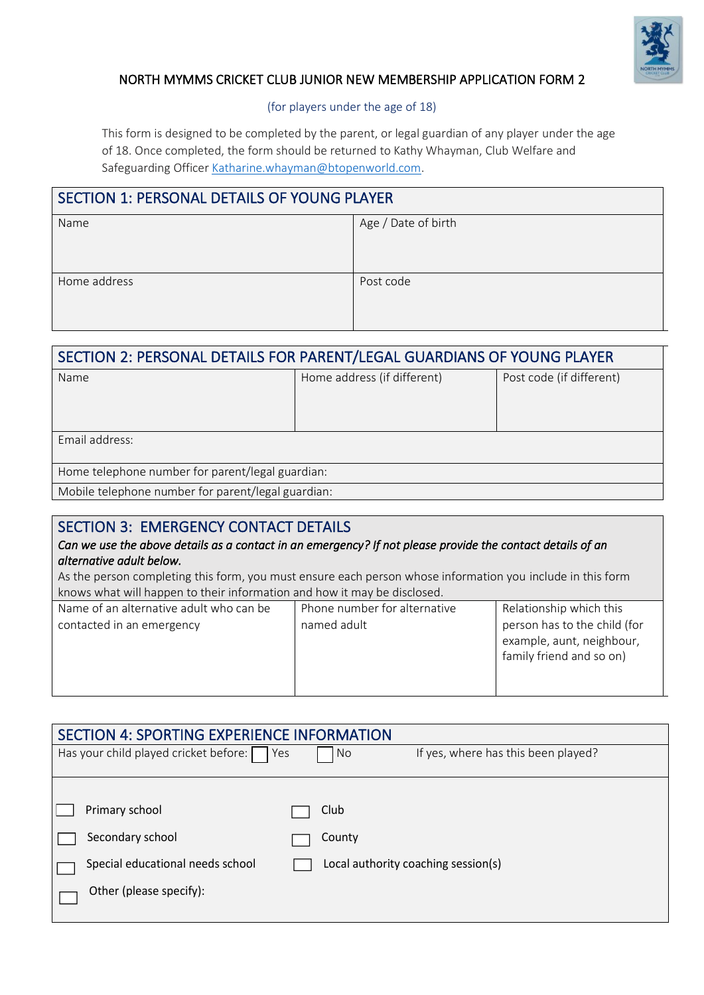

#### NORTH MYMMS CRICKET CLUB JUNIOR NEW MEMBERSHIP APPLICATION FORM 2

(for players under the age of 18)

This form is designed to be completed by the parent, or legal guardian of any player under the age of 18. Once completed, the form should be returned to Kathy Whayman, Club Welfare and Safeguarding Officer [Katharine.whayman@btopenworld.com.](mailto:Katharine.whayman@btopenworld.com)

#### SECTION 1: PERSONAL DETAILS OF YOUNG PLAYER

| Name         | Age / Date of birth |
|--------------|---------------------|
|              |                     |
|              |                     |
|              |                     |
|              |                     |
| Home address | Post code           |
|              |                     |
|              |                     |
|              |                     |
|              |                     |

| SECTION 2: PERSONAL DETAILS FOR PARENT/LEGAL GUARDIANS OF YOUNG PLAYER |                             |                          |
|------------------------------------------------------------------------|-----------------------------|--------------------------|
| Name                                                                   | Home address (if different) | Post code (if different) |
|                                                                        |                             |                          |
|                                                                        |                             |                          |
| Email address:                                                         |                             |                          |
|                                                                        |                             |                          |
| Home telephone number for parent/legal guardian:                       |                             |                          |
| Mobile telephone number for parent/legal guardian:                     |                             |                          |

## SECTION 3: EMERGENCY CONTACT DETAILS

#### *Can we use the above details as a contact in an emergency? If not please provide the contact details of an alternative adult below.*

As the person completing this form, you must ensure each person whose information you include in this form  $\overline{a}$  knows what will happen to their information and how it may be disclosed.

| Name of an alternative adult who can be | Phone number for alternative | Relationship which this      |
|-----------------------------------------|------------------------------|------------------------------|
| contacted in an emergency               | named adult                  | person has to the child (for |
|                                         |                              | example, aunt, neighbour,    |
|                                         |                              | family friend and so on)     |
|                                         |                              |                              |
|                                         |                              |                              |

| <b>SECTION 4: SPORTING EXPERIENCE INFORMATION</b> |                                           |
|---------------------------------------------------|-------------------------------------------|
| Has your child played cricket before:<br>Yes      | If yes, where has this been played?<br>No |
|                                                   |                                           |
| Primary school                                    | Club                                      |
| Secondary school                                  | County                                    |
| Special educational needs school                  | Local authority coaching session(s)       |
| Other (please specify):                           |                                           |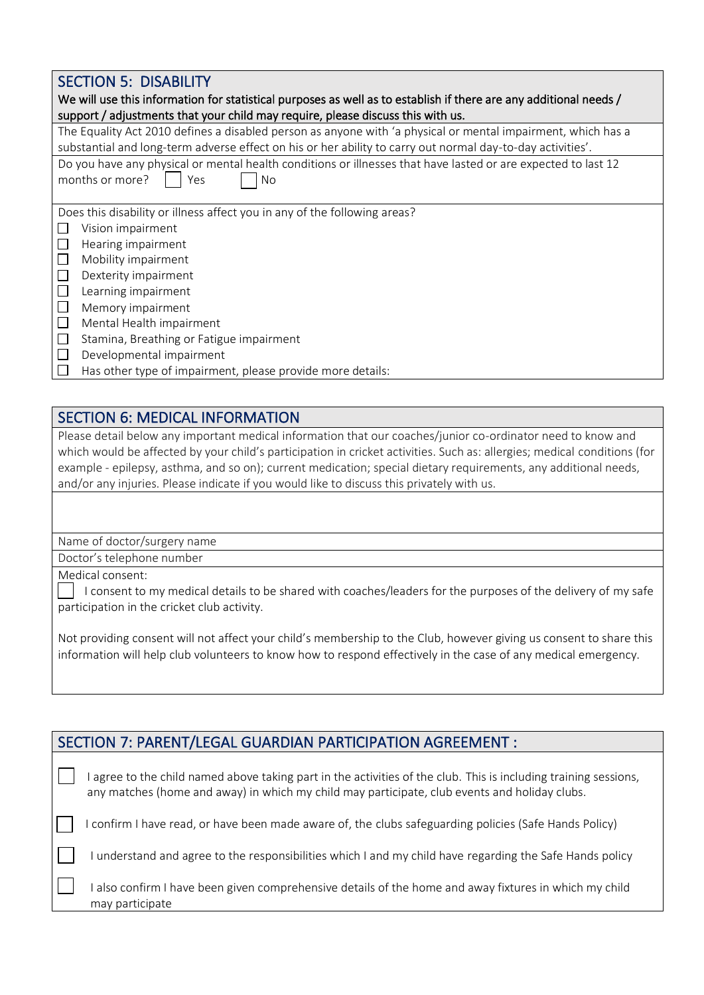### SECTION 5: DISABILITY

| We will use this information for statistical purposes as well as to establish if there are any additional needs /<br>support / adjustments that your child may require, please discuss this with us. |
|------------------------------------------------------------------------------------------------------------------------------------------------------------------------------------------------------|
| The Equality Act 2010 defines a disabled person as anyone with 'a physical or mental impairment, which has a                                                                                         |
| substantial and long-term adverse effect on his or her ability to carry out normal day-to-day activities'.                                                                                           |
| Do you have any physical or mental health conditions or illnesses that have lasted or are expected to last 12<br>months or more?<br>Yes<br>No                                                        |
| Does this disability or illness affect you in any of the following areas?                                                                                                                            |
| Vision impairment                                                                                                                                                                                    |
| Hearing impairment                                                                                                                                                                                   |
| Mobility impairment                                                                                                                                                                                  |
| $\Box$<br>Dexterity impairment                                                                                                                                                                       |
| $\Box$<br>Learning impairment                                                                                                                                                                        |
| $\Box$<br>Memory impairment                                                                                                                                                                          |
| $\Box$<br>Mental Health impairment                                                                                                                                                                   |
| $\Box$<br>Stamina, Breathing or Fatigue impairment                                                                                                                                                   |
| $\Box$<br>Developmental impairment                                                                                                                                                                   |
| Has other type of impairment, please provide more details:                                                                                                                                           |
|                                                                                                                                                                                                      |

### SECTION 6: MEDICAL INFORMATION

Please detail below any important medical information that our coaches/junior co-ordinator need to know and which would be affected by your child's participation in cricket activities. Such as: allergies; medical conditions (for example - epilepsy, asthma, and so on); current medication; special dietary requirements, any additional needs, and/or any injuries. Please indicate if you would like to discuss this privately with us.

Name of doctor/surgery name

Doctor's telephone number

Medical consent:

 I consent to my medical details to be shared with coaches/leaders for the purposes of the delivery of my safe participation in the cricket club activity.

Not providing consent will not affect your child's membership to the Club, however giving us consent to share this information will help club volunteers to know how to respond effectively in the case of any medical emergency.

| SECTION 7: PARENT/LEGAL GUARDIAN PARTICIPATION AGREEMENT :                                                                                                                                                      |
|-----------------------------------------------------------------------------------------------------------------------------------------------------------------------------------------------------------------|
| agree to the child named above taking part in the activities of the club. This is including training sessions,<br>any matches (home and away) in which my child may participate, club events and holiday clubs. |
| confirm I have read, or have been made aware of, the clubs safeguarding policies (Safe Hands Policy)                                                                                                            |
| understand and agree to the responsibilities which I and my child have regarding the Safe Hands policy                                                                                                          |
| also confirm I have been given comprehensive details of the home and away fixtures in which my child<br>may participate                                                                                         |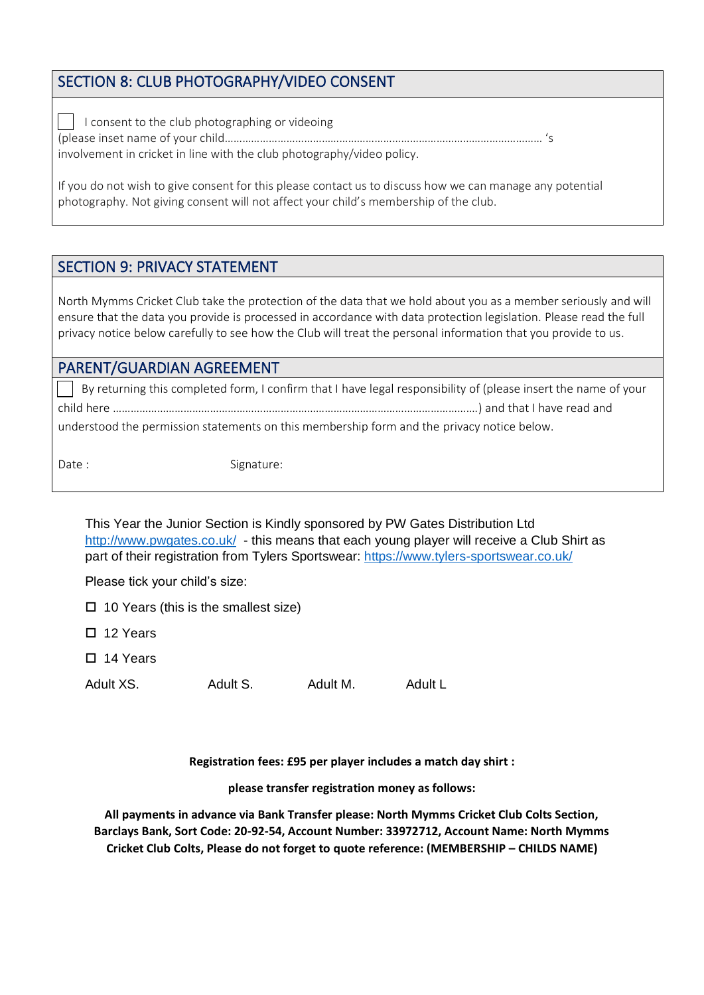## SECTION 8: CLUB PHOTOGRAPHY/VIDEO CONSENT

 I consent to the club photographing or videoing (please inset name of your child……………………………………………………………………………………………… 's involvement in cricket in line with the club photography/video policy.

If you do not wish to give consent for this please contact us to discuss how we can manage any potential photography. Not giving consent will not affect your child's membership of the club.

# SECTION 9: PRIVACY STATEMENT

North Mymms Cricket Club take the protection of the data that we hold about you as a member seriously and will ensure that the data you provide is processed in accordance with data protection legislation. Please read the full privacy notice below carefully to see how the Club will treat the personal information that you provide to us.

### PARENT/GUARDIAN AGREEMENT

 By returning this completed form, I confirm that I have legal responsibility of (please insert the name of your child here …………………………………………………………………………………………………………….) and that I have read and understood the permission statements on this membership form and the privacy notice below.

Date : Signature:

This Year the Junior Section is Kindly sponsored by PW Gates Distribution Ltd <http://www.pwgates.co.uk/>- this means that each young player will receive a Club Shirt as part of their registration from Tylers Sportswear:<https://www.tylers-sportswear.co.uk/>

Please tick your child's size:

- $\Box$  10 Years (this is the smallest size)
- □ 12 Years
- 14 Years

Adult XS. Adult S. Adult M. Adult L

**Registration fees: £95 per player includes a match day shirt :**

**please transfer registration money as follows:**

**All payments in advance via Bank Transfer please: North Mymms Cricket Club Colts Section, Barclays Bank, Sort Code: 20-92-54, Account Number: 33972712, Account Name: North Mymms Cricket Club Colts, Please do not forget to quote reference: (MEMBERSHIP – CHILDS NAME)**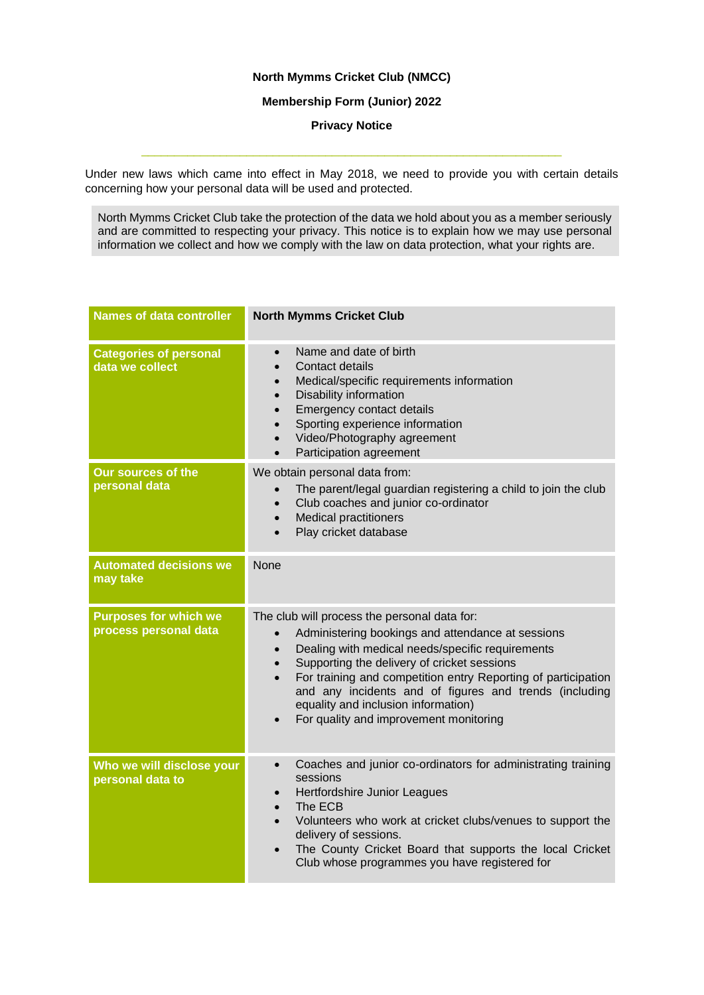#### **North Mymms Cricket Club (NMCC)**

#### **Membership Form (Junior) 2022**

**Privacy Notice**

Under new laws which came into effect in May 2018, we need to provide you with certain details concerning how your personal data will be used and protected.

\_\_\_\_\_\_\_\_\_\_\_\_\_\_\_\_\_\_\_\_\_\_\_\_\_\_\_\_\_\_\_\_\_\_\_\_\_\_\_\_\_\_\_\_\_\_\_\_\_\_\_\_\_\_\_\_\_\_\_\_\_\_\_\_

North Mymms Cricket Club take the protection of the data we hold about you as a member seriously and are committed to respecting your privacy. This notice is to explain how we may use personal information we collect and how we comply with the law on data protection, what your rights are.

| <b>Names of data controller</b>                       | <b>North Mymms Cricket Club</b>                                                                                                                                                                                                                                                                                                                                                                                               |
|-------------------------------------------------------|-------------------------------------------------------------------------------------------------------------------------------------------------------------------------------------------------------------------------------------------------------------------------------------------------------------------------------------------------------------------------------------------------------------------------------|
| <b>Categories of personal</b><br>data we collect      | Name and date of birth<br>Contact details<br>Medical/specific requirements information<br>Disability information<br><b>Emergency contact details</b><br>Sporting experience information<br>Video/Photography agreement<br>Participation agreement<br>$\bullet$                                                                                                                                                                |
| <b>Our sources of the</b><br>personal data            | We obtain personal data from:<br>The parent/legal guardian registering a child to join the club<br>Club coaches and junior co-ordinator<br><b>Medical practitioners</b><br>$\bullet$<br>Play cricket database                                                                                                                                                                                                                 |
| <b>Automated decisions we</b><br>may take             | None                                                                                                                                                                                                                                                                                                                                                                                                                          |
| <b>Purposes for which we</b><br>process personal data | The club will process the personal data for:<br>Administering bookings and attendance at sessions<br>Dealing with medical needs/specific requirements<br>Supporting the delivery of cricket sessions<br>For training and competition entry Reporting of participation<br>$\bullet$<br>and any incidents and of figures and trends (including<br>equality and inclusion information)<br>For quality and improvement monitoring |
| Who we will disclose your<br>personal data to         | Coaches and junior co-ordinators for administrating training<br>$\bullet$<br>sessions<br>Hertfordshire Junior Leagues<br>The ECB<br>Volunteers who work at cricket clubs/venues to support the<br>delivery of sessions.<br>The County Cricket Board that supports the local Cricket<br>$\bullet$<br>Club whose programmes you have registered for                                                                             |